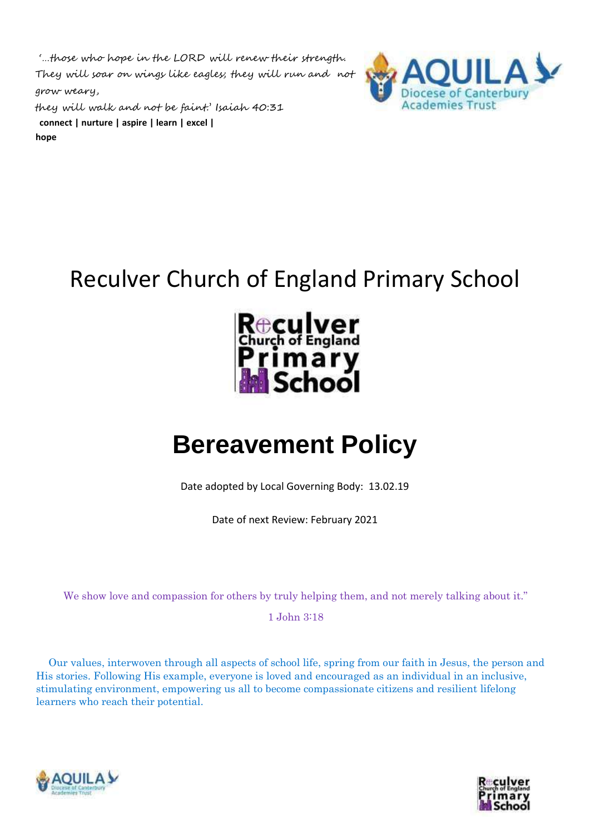'…those who hope in the LORD will renew their strength. They will soar on wings like eagles; they will run and not grow weary,

LAY **Academies Trust** 

they will walk and not be faint.' Isaiah 40:31 **connect | nurture | aspire | learn | excel | hope** 

## Reculver Church of England Primary School



# **Bereavement Policy**

Date adopted by Local Governing Body: 13.02.19

Date of next Review: February 2021

We show love and compassion for others by truly helping them, and not merely talking about it."

1 John 3:18

Our values, interwoven through all aspects of school life, spring from our faith in Jesus, the person and His stories. Following His example, everyone is loved and encouraged as an individual in an inclusive, stimulating environment, empowering us all to become compassionate citizens and resilient lifelong learners who reach their potential.



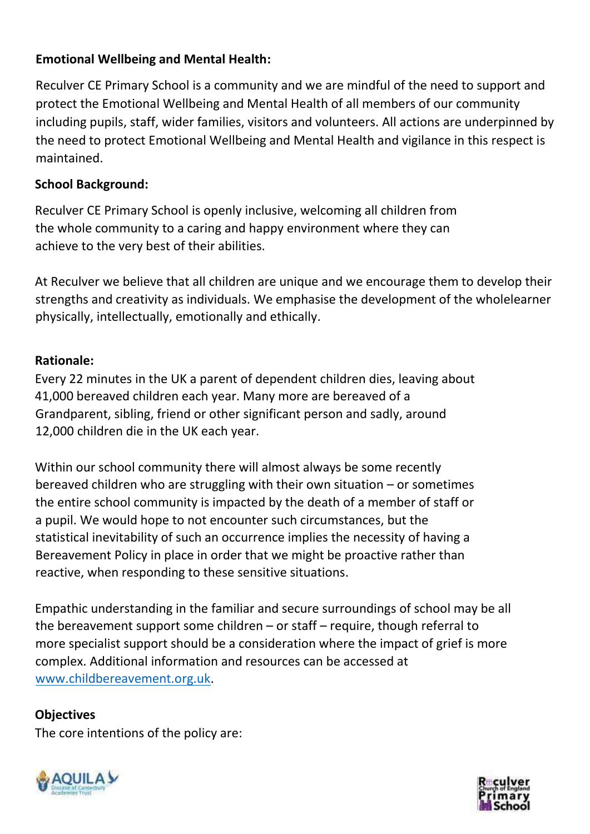### **Emotional Wellbeing and Mental Health:**

Reculver CE Primary School is a community and we are mindful of the need to support and protect the Emotional Wellbeing and Mental Health of all members of our community including pupils, staff, wider families, visitors and volunteers. All actions are underpinned by the need to protect Emotional Wellbeing and Mental Health and vigilance in this respect is maintained.

#### **School Background:**

Reculver CE Primary School is openly inclusive, welcoming all children from the whole community to a caring and happy environment where they can achieve to the very best of their abilities.

At Reculver we believe that all children are unique and we encourage them to develop their strengths and creativity as individuals. We emphasise the development of the wholelearner physically, intellectually, emotionally and ethically.

### **Rationale:**

Every 22 minutes in the UK a parent of dependent children dies, leaving about 41,000 bereaved children each year. Many more are bereaved of a Grandparent, sibling, friend or other significant person and sadly, around 12,000 children die in the UK each year.

Within our school community there will almost always be some recently bereaved children who are struggling with their own situation – or sometimes the entire school community is impacted by the death of a member of staff or a pupil. We would hope to not encounter such circumstances, but the statistical inevitability of such an occurrence implies the necessity of having a Bereavement Policy in place in order that we might be proactive rather than reactive, when responding to these sensitive situations.

Empathic understanding in the familiar and secure surroundings of school may be all the bereavement support some children – or staff – require, though referral to more specialist support should be a consideration where the impact of grief is more complex. Additional information and resources can be accessed at [www.childbereavement.org.uk.](http://www.childbereavement.org.uk/)

#### **Objectives**

The core intentions of the policy are:



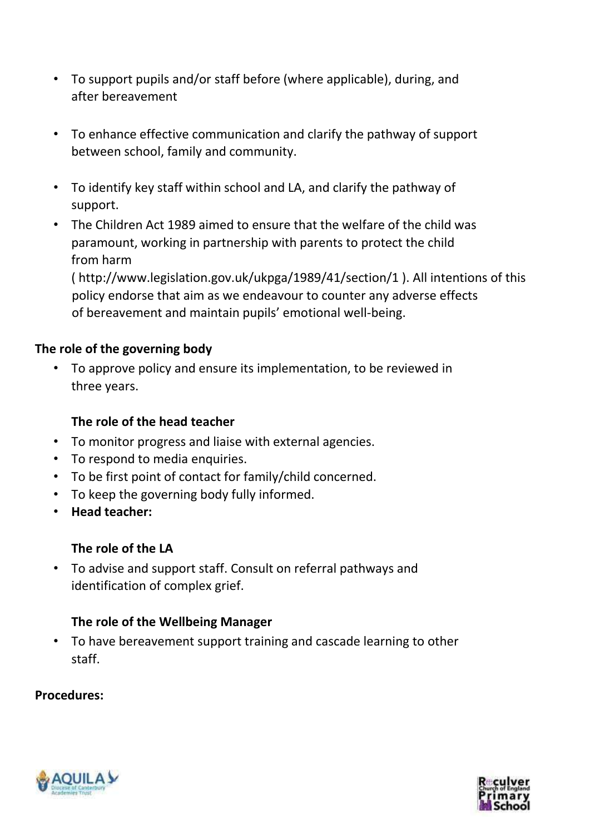- To support pupils and/or staff before (where applicable), during, and after bereavement
- To enhance effective communication and clarify the pathway of support between school, family and community.
- To identify key staff within school and LA, and clarify the pathway of support.
- The Children Act 1989 aimed to ensure that the welfare of the child was paramount, working in partnership with parents to protect the child from harm

( http://www.legislation.gov.uk/ukpga/1989/41/section/1 ). All intentions of this policy endorse that aim as we endeavour to counter any adverse effects of bereavement and maintain pupils' emotional well-being.

#### **The role of the governing body**

• To approve policy and ensure its implementation, to be reviewed in three years.

#### **The role of the head teacher**

- To monitor progress and liaise with external agencies.
- To respond to media enquiries.
- To be first point of contact for family/child concerned.
- To keep the governing body fully informed.
- **Head teacher:**

#### **The role of the LA**

• To advise and support staff. Consult on referral pathways and identification of complex grief.

#### **The role of the Wellbeing Manager**

• To have bereavement support training and cascade learning to other staff.

#### **Procedures:**



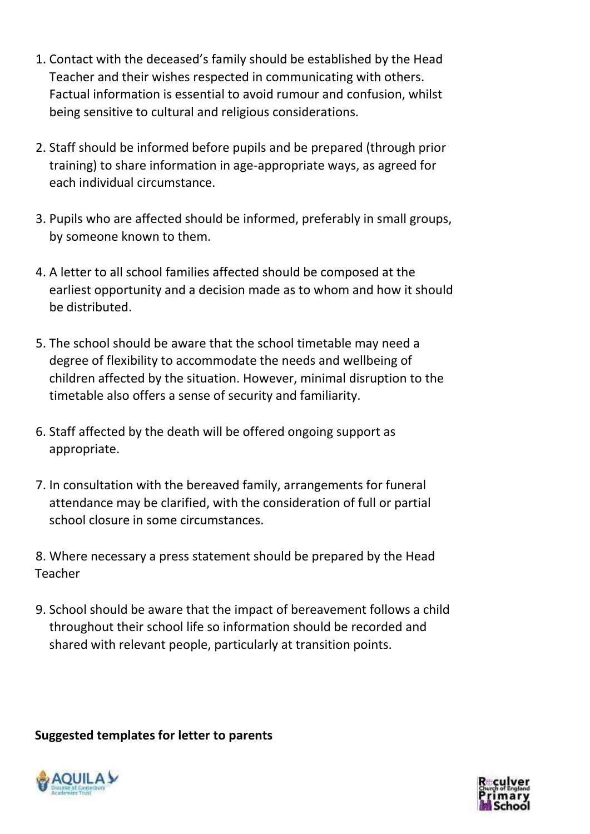- 1. Contact with the deceased's family should be established by the Head Teacher and their wishes respected in communicating with others. Factual information is essential to avoid rumour and confusion, whilst being sensitive to cultural and religious considerations.
- 2. Staff should be informed before pupils and be prepared (through prior training) to share information in age-appropriate ways, as agreed for each individual circumstance.
- 3. Pupils who are affected should be informed, preferably in small groups, by someone known to them.
- 4. A letter to all school families affected should be composed at the earliest opportunity and a decision made as to whom and how it should be distributed.
- 5. The school should be aware that the school timetable may need a degree of flexibility to accommodate the needs and wellbeing of children affected by the situation. However, minimal disruption to the timetable also offers a sense of security and familiarity.
- 6. Staff affected by the death will be offered ongoing support as appropriate.
- 7. In consultation with the bereaved family, arrangements for funeral attendance may be clarified, with the consideration of full or partial school closure in some circumstances.
- 8. Where necessary a press statement should be prepared by the Head Teacher
- 9. School should be aware that the impact of bereavement follows a child throughout their school life so information should be recorded and shared with relevant people, particularly at transition points.

**Suggested templates for letter to parents** 



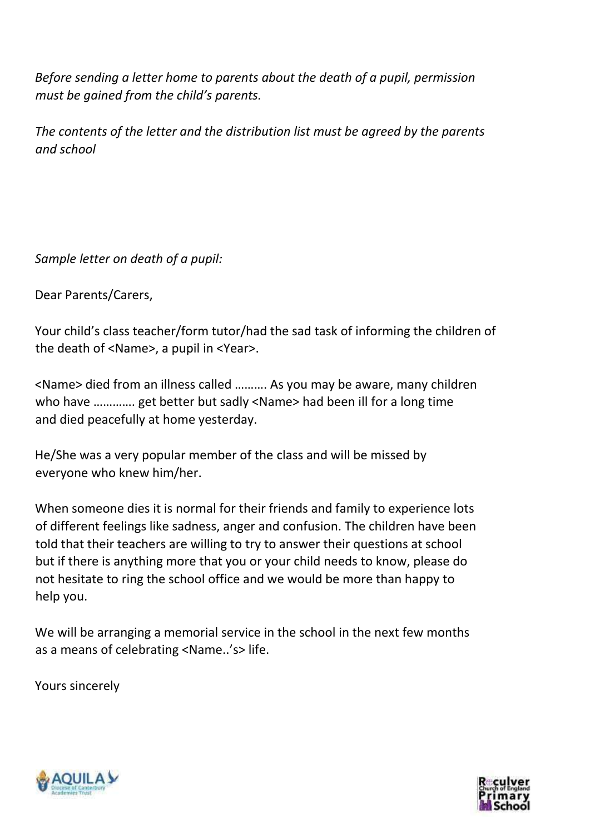*Before sending a letter home to parents about the death of a pupil, permission must be gained from the child's parents.* 

*The contents of the letter and the distribution list must be agreed by the parents and school* 

*Sample letter on death of a pupil:* 

Dear Parents/Carers,

Your child's class teacher/form tutor/had the sad task of informing the children of the death of <Name>, a pupil in <Year>.

<Name> died from an illness called ………. As you may be aware, many children who have …………. get better but sadly <Name> had been ill for a long time and died peacefully at home yesterday.

He/She was a very popular member of the class and will be missed by everyone who knew him/her.

When someone dies it is normal for their friends and family to experience lots of different feelings like sadness, anger and confusion. The children have been told that their teachers are willing to try to answer their questions at school but if there is anything more that you or your child needs to know, please do not hesitate to ring the school office and we would be more than happy to help you.

We will be arranging a memorial service in the school in the next few months as a means of celebrating <Name..'s> life.

Yours sincerely



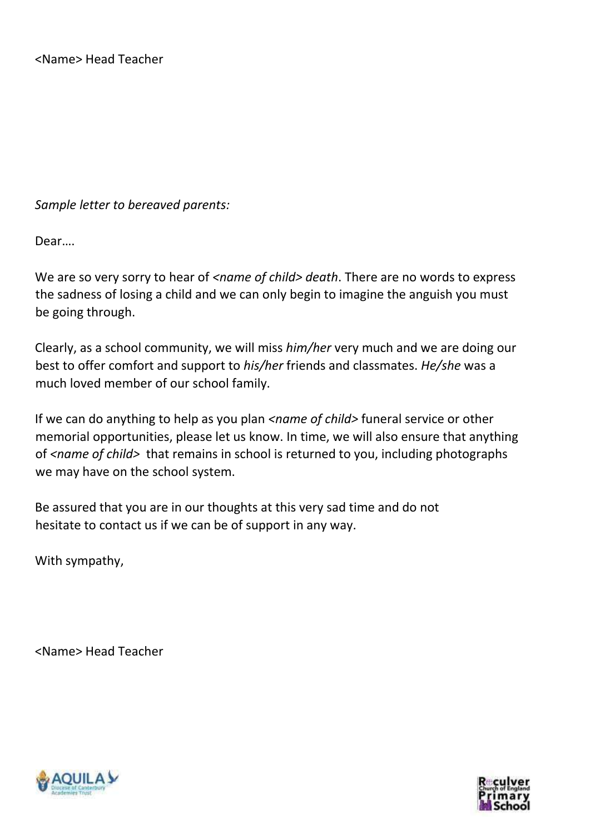*Sample letter to bereaved parents:* 

Dear….

We are so very sorry to hear of <name of child> death. There are no words to express the sadness of losing a child and we can only begin to imagine the anguish you must be going through.

Clearly, as a school community, we will miss *him/her* very much and we are doing our best to offer comfort and support to *his/her* friends and classmates. *He/she* was a much loved member of our school family.

If we can do anything to help as you plan *<name of child>* funeral service or other memorial opportunities, please let us know. In time, we will also ensure that anything of *<name of child>* that remains in school is returned to you, including photographs we may have on the school system.

Be assured that you are in our thoughts at this very sad time and do not hesitate to contact us if we can be of support in any way.

With sympathy,

<Name> Head Teacher